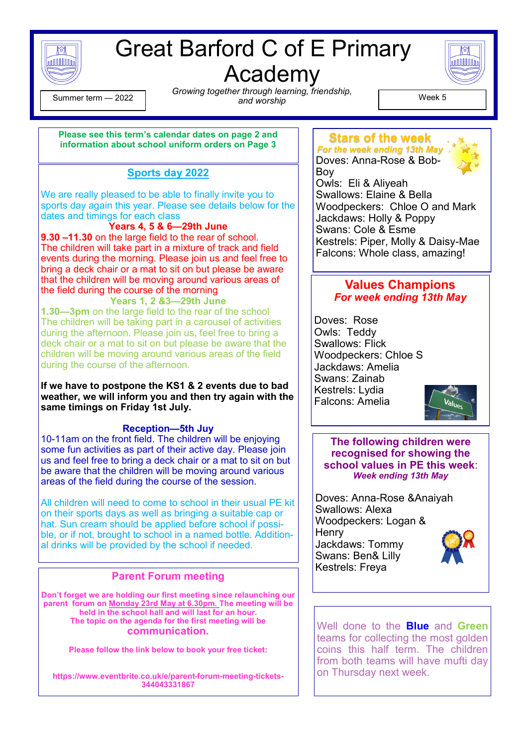

# Great Barford C of E Primary

Academy

**MULILLIA** 

 $\begin{array}{c} \text{Lemma 1:} \\ \text{1:} \\ \text{1:} \\ \text{2:} \\ \text{2:} \\ \text{2:} \\ \text{3:} \\ \text{3:} \\ \text{4:} \\ \text{4:} \\ \text{5:} \\ \text{5:} \\ \text{6:} \\ \text{6:} \\ \text{7:} \\ \text{7:} \\ \text{8:} \\ \text{9:} \\ \text{9:} \\ \text{1:} \\ \text{1:} \\ \text{1:} \\ \text{1:} \\ \text{1:} \\ \text{1:} \\ \text{1:} \\ \text{1:} \\ \text{1:} \\ \text{1:} \\ \text{1:} \\ \$ *Growing together through learning, friendship, and worship* Summer term — <sup>2022</sup> Week 5

#### **Please see this term's calendar dates on page 2 and information about school uniform orders on Page 3**

#### **Sports day 2022**

We are really pleased to be able to finally invite you to sports day again this year. Please see details below for the dates and timings for each class

**Years 4, 5 & 6—29th June 9.30 –11.30** on the large field to the rear of school. The children will take part in a mixture of track and field events during the morning. Please join us and feel free to bring a deck chair or a mat to sit on but please be aware that the children will be moving around various areas of the field during the course of the morning

**Years 1, 2 &3—29th June 1.30—3pm** on the large field to the rear of the school The children will be taking part in a carousel of activities during the afternoon. Please join us, feel free to bring a deck chair or a mat to sit on but please be aware that the children will be moving around various areas of the field during the course of the afternoon.

**If we have to postpone the KS1 & 2 events due to bad weather, we will inform you and then try again with the same timings on Friday 1st July.**

#### **Reception—5th Juy**

10-11am on the front field. The children will be enjoying some fun activities as part of their active day. Please join us and feel free to bring a deck chair or a mat to sit on but be aware that the children will be moving around various areas of the field during the course of the session.

All children will need to come to school in their usual PE kit on their sports days as well as bringing a suitable cap or hat. Sun cream should be applied before school if possible, or if not, brought to school in a named bottle. Additional drinks will be provided by the school if needed.

#### **Parent Forum meeting**

**Don't forget we are holding our first meeting since relaunching our parent forum on Monday 23rd May at 6.30pm. The meeting will be held in the school hall and will last for an hour. The topic on the agenda for the first meeting will be communication.** 

**Please follow the link below to book your free ticket:**

**https://www.eventbrite.co.uk/e/parent-forum-meeting-tickets-344043331867**

#### **Stars of the week** *For the week ending 13th May*

Doves: Anna-Rose & Bob-Boy



Owls: Eli & Aliyeah Swallows: Elaine & Bella Woodpeckers: Chloe O and Mark Jackdaws: Holly & Poppy Swans: Cole & Esme Kestrels: Piper, Molly & Daisy-Mae Falcons: Whole class, amazing!

#### **Values Champions** *For week ending 13th May*

Doves: Rose Owls: Teddy Swallows: Flick Woodpeckers: Chloe S Jackdaws: Amelia Swans: Zainab Kestrels: Lydia Falcons: Amelia



**The following children were recognised for showing the school values in PE this week**: *Week ending 13th May*

Doves: Anna-Rose &Anaiyah Swallows: Alexa Woodpeckers: Logan & **Henry** Jackdaws: Tommy Swans: Ben& Lilly Kestrels: Freya



Well done to the **Blue** and **Green** teams for collecting the most golden coins this half term. The children from both teams will have mufti day on Thursday next week.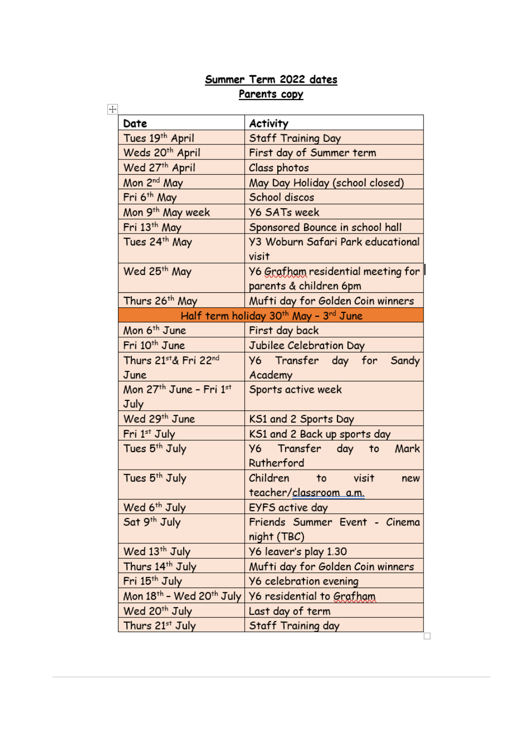#### Summer Term 2022 dates Parents copy

| Date                                      | <b>Activity</b>                                              |
|-------------------------------------------|--------------------------------------------------------------|
| Tues 19th April                           | Staff Training Day                                           |
| Weds 20 <sup>th</sup> April               | First day of Summer term                                     |
| Wed 27th April                            | Class photos                                                 |
| Mon 2 <sup>nd</sup> May                   | May Day Holiday (school closed)                              |
| Fri 6 <sup>th</sup> May                   | School discos                                                |
| Mon 9 <sup>th</sup> May week              | <b>Y6 SATs week</b>                                          |
| Fri 13th May                              | Sponsored Bounce in school hall                              |
| Tues 24 <sup>th</sup> May                 | <b>Y3 Woburn Safari Park educational</b><br>visit            |
| Wed 25 <sup>th</sup> May                  | Y6 Grafham residential meeting for<br>parents & children 6pm |
| Thurs 26 <sup>th</sup> May                | Mufti day for Golden Coin winners                            |
| Half term holiday 30th May - 3rd June     |                                                              |
| Mon 6 <sup>th</sup> June                  | First day back                                               |
| Fri 10 <sup>th</sup> June                 | Jubilee Celebration Day                                      |
| Thurs 21st& Fri 22nd                      | Y6 Transfer day for Sandy                                    |
| June                                      | Academy                                                      |
| Mon 27 <sup>th</sup> June - Fri 1st       | Sports active week                                           |
| July                                      |                                                              |
| Wed 29 <sup>th</sup> June                 | KS1 and 2 Sports Day                                         |
| Fri 1st July                              | KS1 and 2 Back up sports day                                 |
| Tues 5 <sup>th</sup> July                 | Y6 Transfer day to<br>Mark<br>Rutherford                     |
| Tues 5 <sup>th</sup> July                 | Children to visit<br>new<br>teacher/classroom a.m.           |
| Wed 6 <sup>th</sup> July                  | EYFS active day                                              |
| Sat 9 <sup>th</sup> July                  | Friends Summer Event - Cinema                                |
|                                           | night (TBC)                                                  |
| Wed 13 <sup>th</sup> July                 | Y6 leaver's play 1.30                                        |
| Thurs 14th July                           | Mufti day for Golden Coin winners                            |
| Fri 15 <sup>th</sup> July                 | <b>Y6 celebration evening</b>                                |
| Mon $18^{th}$ – Wed 20 <sup>th</sup> July | Y6 residential to Grafham                                    |
| Wed 20 <sup>th</sup> July                 | Last day of term                                             |
| Thurs 21st July                           | Staff Training day                                           |